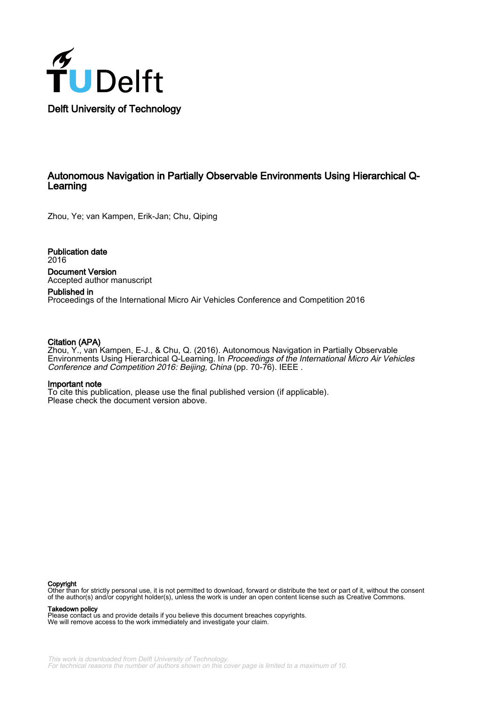

## Autonomous Navigation in Partially Observable Environments Using Hierarchical Q-Learning

Zhou, Ye; van Kampen, Erik-Jan; Chu, Qiping

Publication date 2016 Document Version

Accepted author manuscript Published in

Proceedings of the International Micro Air Vehicles Conference and Competition 2016

## Citation (APA)

Zhou, Y., van Kampen, E-J., & Chu, Q. (2016). Autonomous Navigation in Partially Observable Environments Using Hierarchical Q-Learning. In Proceedings of the International Micro Air Vehicles Conference and Competition 2016: Beijing, China (pp. 70-76). IEEE.

## Important note

To cite this publication, please use the final published version (if applicable). Please check the document version above.

#### Copyright

Other than for strictly personal use, it is not permitted to download, forward or distribute the text or part of it, without the consent of the author(s) and/or copyright holder(s), unless the work is under an open content license such as Creative Commons.

#### Takedown policy

Please contact us and provide details if you believe this document breaches copyrights. We will remove access to the work immediately and investigate your claim.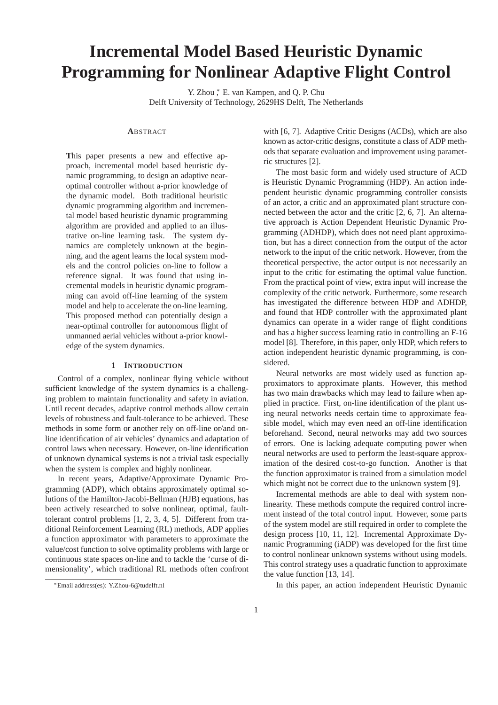# **Incremental Model Based Heuristic Dynamic Programming for Nonlinear Adaptive Flight Control**

Y. Zhou  $*$  E. van Kampen, and Q. P. Chu Delft University of Technology, 2629HS Delft, The Netherlands

#### **A**BSTRACT

**T**his paper presents a new and effective approach, incremental model based heuristic dynamic programming, to design an adaptive nearoptimal controller without a-prior knowledge of the dynamic model. Both traditional heuristic dynamic programming algorithm and incremental model based heuristic dynamic programming algorithm are provided and applied to an illustrative on-line learning task. The system dynamics are completely unknown at the beginning, and the agent learns the local system models and the control policies on-line to follow a reference signal. It was found that using incremental models in heuristic dynamic programming can avoid off-line learning of the system model and help to accelerate the on-line learning. This proposed method can potentially design a near-optimal controller for autonomous flight of unmanned aerial vehicles without a-prior knowledge of the system dynamics.

## **1 INTRODUCTION**

Control of a complex, nonlinear flying vehicle without sufficient knowledge of the system dynamics is a challenging problem to maintain functionality and safety in aviation. Until recent decades, adaptive control methods allow certain levels of robustness and fault-tolerance to be achieved. These methods in some form or another rely on off-line or/and online identification of air vehicles' dynamics and adaptation of control laws when necessary. However, on-line identification of unknown dynamical systems is not a trivial task especially when the system is complex and highly nonlinear.

In recent years, Adaptive/Approximate Dynamic Programming (ADP), which obtains approximately optimal solutions of the Hamilton-Jacobi-Bellman (HJB) equations, has been actively researched to solve nonlinear, optimal, faulttolerant control problems [1, 2, 3, 4, 5]. Different from traditional Reinforcement Learning (RL) methods, ADP applies a function approximator with parameters to approximate the value/cost function to solve optimality problems with large or continuous state spaces on-line and to tackle the 'curse of dimensionality', which traditional RL methods often confront with [6, 7]. Adaptive Critic Designs (ACDs), which are also known as actor-critic designs, constitute a class of ADP methods that separate evaluation and improvement using parametric structures [2].

The most basic form and widely used structure of ACD is Heuristic Dynamic Programming (HDP). An action independent heuristic dynamic programming controller consists of an actor, a critic and an approximated plant structure connected between the actor and the critic [2, 6, 7]. An alternative approach is Action Dependent Heuristic Dynamic Programming (ADHDP), which does not need plant approximation, but has a direct connection from the output of the actor network to the input of the critic network. However, from the theoretical perspective, the actor output is not necessarily an input to the critic for estimating the optimal value function. From the practical point of view, extra input will increase the complexity of the critic network. Furthermore, some research has investigated the difference between HDP and ADHDP, and found that HDP controller with the approximated plant dynamics can operate in a wider range of flight conditions and has a higher success learning ratio in controlling an F-16 model [8]. Therefore, in this paper, only HDP, which refers to action independent heuristic dynamic programming, is considered.

Neural networks are most widely used as function approximators to approximate plants. However, this method has two main drawbacks which may lead to failure when applied in practice. First, on-line identification of the plant using neural networks needs certain time to approximate feasible model, which may even need an off-line identification beforehand. Second, neural networks may add two sources of errors. One is lacking adequate computing power when neural networks are used to perform the least-square approximation of the desired cost-to-go function. Another is that the function approximator is trained from a simulation model which might not be correct due to the unknown system [9].

Incremental methods are able to deal with system nonlinearity. These methods compute the required control increment instead of the total control input. However, some parts of the system model are still required in order to complete the design process [10, 11, 12]. Incremental Approximate Dynamic Programming (iADP) was developed for the first time to control nonlinear unknown systems without using models. This control strategy uses a quadratic function to approximate the value function [13, 14].

In this paper, an action independent Heuristic Dynamic

<sup>∗</sup>Email address(es): Y.Zhou-6@tudelft.nl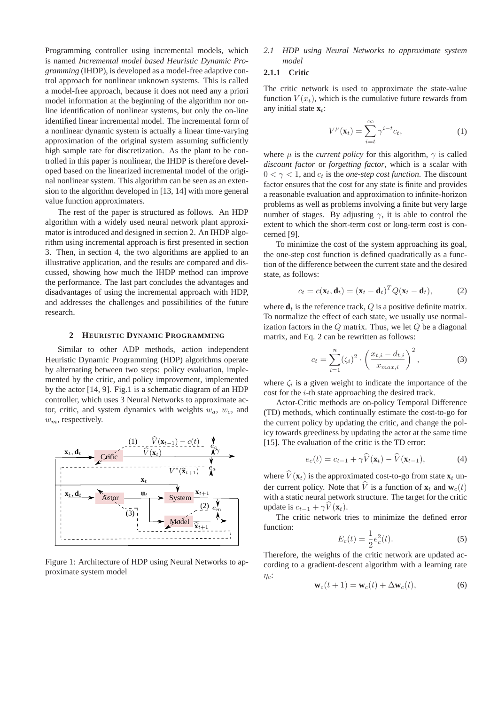Programming controller using incremental models, which is named *Incremental model based Heuristic Dynamic Programming* (IHDP), is developed as a model-free adaptive control approach for nonlinear unknown systems. This is called a model-free approach, because it does not need any a priori model information at the beginning of the algorithm nor online identification of nonlinear systems, but only the on-line identified linear incremental model. The incremental form of a nonlinear dynamic system is actually a linear time-varying approximation of the original system assuming sufficiently high sample rate for discretization. As the plant to be controlled in this paper is nonlinear, the IHDP is therefore developed based on the linearized incremental model of the original nonlinear system. This algorithm can be seen as an extension to the algorithm developed in [13, 14] with more general value function approximaters.

The rest of the paper is structured as follows. An HDP algorithm with a widely used neural network plant approximator is introduced and designed in section 2. An IHDP algorithm using incremental approach is first presented in section 3. Then, in section 4, the two algorithms are applied to an illustrative application, and the results are compared and discussed, showing how much the IHDP method can improve the performance. The last part concludes the advantages and disadvantages of using the incremental approach with HDP, and addresses the challenges and possibilities of the future research.

#### **2 HEURISTIC DYNAMIC PROGRAMMING**

Similar to other ADP methods, action independent Heuristic Dynamic Programming (HDP) algorithms operate by alternating between two steps: policy evaluation, implemented by the critic, and policy improvement, implemented by the actor [14, 9]. Fig.1 is a schematic diagram of an HDP controller, which uses 3 Neural Networks to approximate actor, critic, and system dynamics with weights  $w_a$ ,  $w_c$ , and  $w_m$ , respectively.



Figure 1: Architecture of HDP using Neural Networks to approximate system model

*2.1 HDP using Neural Networks to approximate system model*

## **2.1.1 Critic**

The critic network is used to approximate the state-value function  $V(x_t)$ , which is the cumulative future rewards from any initial state  $\mathbf{x}_t$ :

$$
V^{\mu}(\mathbf{x}_t) = \sum_{i=t}^{\infty} \gamma^{i-t} c_t,
$$
 (1)

where  $\mu$  is the *current policy* for this algorithm,  $\gamma$  is called *discount factor* or *forgetting factor*, which is a scalar with  $0 < \gamma < 1$ , and  $c_t$  is the *one-step cost function*. The discount factor ensures that the cost for any state is finite and provides a reasonable evaluation and approximation to infinite-horizon problems as well as problems involving a finite but very large number of stages. By adjusting  $\gamma$ , it is able to control the extent to which the short-term cost or long-term cost is concerned [9].

To minimize the cost of the system approaching its goal, the one-step cost function is defined quadratically as a function of the difference between the current state and the desired state, as follows:

$$
c_t = c(\mathbf{x}_t, \mathbf{d}_t) = (\mathbf{x}_t - \mathbf{d}_t)^T Q (\mathbf{x}_t - \mathbf{d}_t),
$$
 (2)

where  $\mathbf{d}_t$  is the reference track,  $Q$  is a positive definite matrix. To normalize the effect of each state, we usually use normalization factors in the  $Q$  matrix. Thus, we let  $Q$  be a diagonal matrix, and Eq. 2 can be rewritten as follows:

$$
c_t = \sum_{i=1}^{n} (\zeta_i)^2 \cdot \left(\frac{x_{t,i} - d_{t,i}}{x_{max,i}}\right)^2,
$$
 (3)

where  $\zeta_i$  is a given weight to indicate the importance of the cost for the i-th state approaching the desired track.

Actor-Critic methods are on-policy Temporal Difference (TD) methods, which continually estimate the cost-to-go for the current policy by updating the critic, and change the policy towards greediness by updating the actor at the same time [15]. The evaluation of the critic is the TD error:

$$
e_c(t) = c_{t-1} + \gamma \widehat{V}(\mathbf{x}_t) - \widehat{V}(\mathbf{x}_{t-1}),
$$
\n(4)

where  $\widehat{V}(\mathbf{x}_t)$  is the approximated cost-to-go from state  $\mathbf{x}_t$  under current policy. Note that  $\widehat{V}$  is a function of  $\mathbf{x}_t$  and  $\mathbf{w}_c(t)$ with a static neural network structure. The target for the critic update is  $c_{t-1} + \gamma V(\mathbf{x}_t)$ .

The critic network tries to minimize the defined error function:

$$
E_c(t) = \frac{1}{2}e_c^2(t).
$$
 (5)

Therefore, the weights of the critic network are updated according to a gradient-descent algorithm with a learning rate  $\eta_c$ :

$$
\mathbf{w}_c(t+1) = \mathbf{w}_c(t) + \Delta \mathbf{w}_c(t), \tag{6}
$$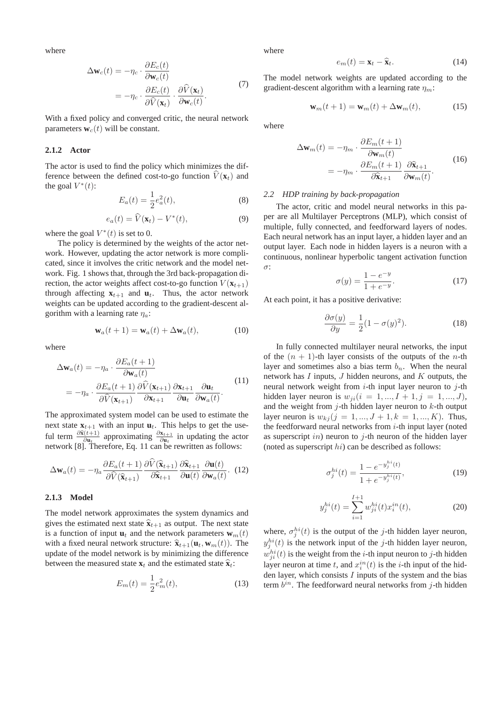where

$$
\Delta \mathbf{w}_c(t) = -\eta_c \cdot \frac{\partial E_c(t)}{\partial \mathbf{w}_c(t)}
$$
  
=  $-\eta_c \cdot \frac{\partial E_c(t)}{\partial \hat{V}(\mathbf{x}_t)} \cdot \frac{\partial \hat{V}(\mathbf{x}_t)}{\partial \mathbf{w}_c(t)}$ . (7)

With a fixed policy and converged critic, the neural network parameters  $\mathbf{w}_c(t)$  will be constant.

#### **2.1.2 Actor**

The actor is used to find the policy which minimizes the difference between the defined cost-to-go function  $V(\mathbf{x}_t)$  and the goal  $V^*(t)$ :

$$
E_a(t) = \frac{1}{2}e_a^2(t),
$$
 (8)

$$
e_a(t) = \widehat{V}(\mathbf{x}_t) - V^*(t), \tag{9}
$$

where the goal  $V^*(t)$  is set to 0.

The policy is determined by the weights of the actor network. However, updating the actor network is more complicated, since it involves the critic network and the model network. Fig. 1 shows that, through the 3rd back-propagation direction, the actor weights affect cost-to-go function  $V(\mathbf{x}_{t+1})$ through affecting  $\mathbf{x}_{t+1}$  and  $\mathbf{u}_t$ . Thus, the actor network weights can be updated according to the gradient-descent algorithm with a learning rate  $\eta_a$ :

$$
\mathbf{w}_a(t+1) = \mathbf{w}_a(t) + \Delta \mathbf{w}_a(t), \tag{10}
$$

where

$$
\Delta \mathbf{w}_a(t) = -\eta_a \cdot \frac{\partial E_a(t+1)}{\partial \mathbf{w}_a(t)} \n= -\eta_a \cdot \frac{\partial E_a(t+1)}{\partial \hat{V}(\mathbf{x}_{t+1})} \frac{\partial \hat{V}(\mathbf{x}_{t+1})}{\partial \mathbf{x}_{t+1}} \frac{\partial \mathbf{x}_{t+1}}{\partial \mathbf{u}_t} \frac{\partial \mathbf{u}_t}{\partial \mathbf{w}_a(t)}.
$$
\n(11)

The approximated system model can be used to estimate the next state  $\mathbf{x}_{t+1}$  with an input  $\mathbf{u}_t$ . This helps to get the useful term  $\frac{\partial \hat{\mathbf{x}}(t+1)}{\partial \mathbf{u}_t}$  approximating  $\frac{\partial \mathbf{x}_{t+1}}{\partial \mathbf{u}_t}$  in updating the actor network [8]. Therefore, Eq. 11 can be rewritten as follows:

$$
\Delta \mathbf{w}_a(t) = -\eta_a \frac{\partial E_a(t+1)}{\partial \hat{V}(\widehat{\mathbf{x}}_{t+1})} \frac{\partial \widehat{V}(\widehat{\mathbf{x}}_{t+1})}{\partial \widehat{\mathbf{x}}_{t+1}} \frac{\partial \widehat{\mathbf{x}}_{t+1}}{\partial \mathbf{u}(t)} \frac{\partial \mathbf{u}(t)}{\partial \mathbf{w}_a(t)}.
$$
 (12)

#### **2.1.3 Model**

The model network approximates the system dynamics and gives the estimated next state  $\hat{\mathbf{x}}_{t+1}$  as output. The next state is a function of input  $\mathbf{u}_t$  and the network parameters  $\mathbf{w}_m(t)$ with a fixed neural network structure:  $\hat{\mathbf{x}}_{t+1}(\mathbf{u}_t, \mathbf{w}_m(t))$ . The update of the model network is by minimizing the difference between the measured state  $\mathbf{x}_t$  and the estimated state  $\hat{\mathbf{x}}_t$ :

$$
E_m(t) = \frac{1}{2}e_m^2(t),
$$
\n(13)

where

$$
e_m(t) = \mathbf{x}_t - \hat{\mathbf{x}}_t. \tag{14}
$$

The model network weights are updated according to the gradient-descent algorithm with a learning rate  $\eta_m$ :

$$
\mathbf{w}_m(t+1) = \mathbf{w}_m(t) + \Delta \mathbf{w}_m(t), \tag{15}
$$

where

$$
\Delta \mathbf{w}_m(t) = -\eta_m \cdot \frac{\partial E_m(t+1)}{\partial \mathbf{w}_m(t)}
$$
  
= 
$$
-\eta_m \cdot \frac{\partial E_m(t+1)}{\partial \hat{\mathbf{x}}_{t+1}} \frac{\partial \hat{\mathbf{x}}_{t+1}}{\partial \mathbf{w}_m(t)}.
$$
 (16)

#### *2.2 HDP training by back-propagation*

The actor, critic and model neural networks in this paper are all Multilayer Perceptrons (MLP), which consist of multiple, fully connected, and feedforward layers of nodes. Each neural network has an input layer, a hidden layer and an output layer. Each node in hidden layers is a neuron with a continuous, nonlinear hyperbolic tangent activation function σ:

$$
\sigma(y) = \frac{1 - e^{-y}}{1 + e^{-y}}.\tag{17}
$$

At each point, it has a positive derivative:

$$
\frac{\partial \sigma(y)}{\partial y} = \frac{1}{2} (1 - \sigma(y)^2). \tag{18}
$$

In fully connected multilayer neural networks, the input of the  $(n + 1)$ -th layer consists of the outputs of the *n*-th layer and sometimes also a bias term  $b_n$ . When the neural network has  $I$  inputs,  $J$  hidden neurons, and  $K$  outputs, the neural network weight from  $i$ -th input layer neuron to  $j$ -th hidden layer neuron is  $w_{ji} (i = 1, ..., I + 1, j = 1, ..., J)$ , and the weight from  $j$ -th hidden layer neuron to  $k$ -th output layer neuron is  $w_{ki}$  ( $j = 1, ..., J + 1, k = 1, ..., K$ ). Thus, the feedforward neural networks from  $i$ -th input layer (noted as superscript in) neuron to  $i$ -th neuron of the hidden layer (noted as superscript  $hi$ ) can be described as follows:

$$
\sigma_j^{hi}(t) = \frac{1 - e^{-y_j^{hi}(t)}}{1 + e^{-y_j^{hi}(t)}},\tag{19}
$$

$$
y_j^{hi}(t) = \sum_{i=1}^{I+1} w_{ji}^{hi}(t) x_i^{in}(t),
$$
\n(20)

where,  $\sigma_j^{hi}(t)$  is the output of the j-th hidden layer neuron,  $y_j^{hi}(t)$  is the network input of the j-th hidden layer neuron,  $w_{ji}^{hi}(t)$  is the weight from the *i*-th input neuron to *j*-th hidden layer neuron at time t, and  $x_i^{in}(t)$  is the *i*-th input of the hidden layer, which consists  $I$  inputs of the system and the bias term  $b^{in}$ . The feedforward neural networks from j-th hidden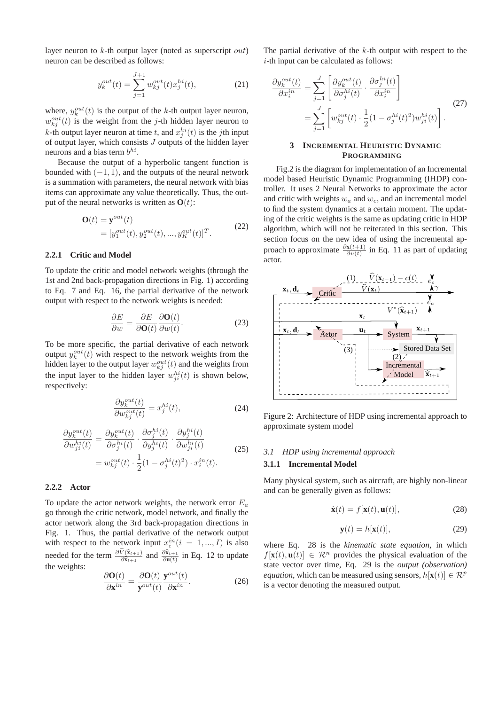layer neuron to  $k$ -th output layer (noted as superscript *out*) neuron can be described as follows:

$$
y_k^{out}(t) = \sum_{j=1}^{J+1} w_{kj}^{out}(t) x_j^{hi}(t),
$$
 (21)

where,  $y_k^{out}(t)$  is the output of the k-th output layer neuron,  $w_{kj}^{out}(t)$  is the weight from the j-th hidden layer neuron to *k*-th output layer neuron at time *t*, and  $x_j^{hi}(t)$  is the *j*th input of output layer, which consists  $J$  outputs of the hidden layer neurons and a bias term  $b^{hi}$ .

Because the output of a hyperbolic tangent function is bounded with  $(-1, 1)$ , and the outputs of the neural network is a summation with parameters, the neural network with bias items can approximate any value theoretically. Thus, the output of the neural networks is written as  $O(t)$ :

$$
\mathbf{O}(t) = \mathbf{y}^{out}(t) \n= [y_1^{out}(t), y_2^{out}(t), ..., y_K^{out}(t)]^T.
$$
\n(22)

#### **2.2.1 Critic and Model**

To update the critic and model network weights (through the 1st and 2nd back-propagation directions in Fig. 1) according to Eq. 7 and Eq. 16, the partial derivative of the network output with respect to the network weights is needed:

$$
\frac{\partial E}{\partial w} = \frac{\partial E}{\partial \mathbf{O}(t)} \frac{\partial \mathbf{O}(t)}{\partial w(t)}.
$$
(23)

To be more specific, the partial derivative of each network output  $y_k^{out}(t)$  with respect to the network weights from the hidden layer to the output layer  $w_{kj}^{out}(t)$  and the weights from the input layer to the hidden layer  $w_{ji}^{hi}(t)$  is shown below, respectively:

$$
\frac{\partial y_k^{out}(t)}{\partial w_{kj}^{out}(t)} = x_j^{hi}(t),\tag{24}
$$

$$
\frac{\partial y_k^{out}(t)}{\partial w_{ji}^{hi}(t)} = \frac{\partial y_k^{out}(t)}{\partial \sigma_j^{hi}(t)} \cdot \frac{\partial \sigma_j^{hi}(t)}{\partial y_j^{hi}(t)} \cdot \frac{\partial y_j^{hi}(t)}{\partial w_{ji}^{hi}(t)}
$$
\n
$$
= w_{kj}^{out}(t) \cdot \frac{1}{2} (1 - \sigma_j^{hi}(t)^2) \cdot x_i^{in}(t).
$$
\n(25)

## **2.2.2 Actor**

To update the actor network weights, the network error  $E_a$ go through the critic network, model network, and finally the actor network along the 3rd back-propagation directions in Fig. 1. Thus, the partial derivative of the network output with respect to the network input  $x_i^{in}$  ( $i = 1, ..., I$ ) is also needed for the term  $\frac{\partial \widehat{V}(\widehat{\mathbf{x}}_{t+1})}{\partial \widehat{\mathbf{x}}_{t+1}}$  and  $\frac{\partial \widehat{\mathbf{x}}_{t+1}}{\partial \mathbf{u}(t)}$  in Eq. 12 to update the weights:

$$
\frac{\partial \mathbf{O}(t)}{\partial \mathbf{x}^{in}} = \frac{\partial \mathbf{O}(t)}{\mathbf{y}^{out}(t)} \frac{\mathbf{y}^{out}(t)}{\partial \mathbf{x}^{in}}.
$$
 (26)

The partial derivative of the  $k$ -th output with respect to the  $i$ -th input can be calculated as follows:

$$
\frac{\partial y_k^{out}(t)}{\partial x_i^{in}} = \sum_{j=1}^J \left[ \frac{\partial y_k^{out}(t)}{\partial \sigma_j^{hi}(t)} \cdot \frac{\partial \sigma_j^{hi}(t)}{\partial x_i^{in}} \right]
$$
\n
$$
= \sum_{j=1}^J \left[ w_{kj}^{out}(t) \cdot \frac{1}{2} (1 - \sigma_j^{hi}(t)^2) w_{ji}^{hi}(t) \right].
$$
\n(27)

#### **3 INCREMENTAL HEURISTIC DYNAMIC PROGRAMMING**

Fig.2 is the diagram for implementation of an Incremental model based Heuristic Dynamic Programming (IHDP) controller. It uses 2 Neural Networks to approximate the actor and critic with weights  $w_a$  and  $w_c$ , and an incremental model to find the system dynamics at a certain moment. The updating of the critic weights is the same as updating critic in HDP algorithm, which will not be reiterated in this section. This section focus on the new idea of using the incremental approach to approximate  $\frac{\partial x(t+1)}{\partial u(t)}$  in Eq. 11 as part of updating actor.



Figure 2: Architecture of HDP using incremental approach to approximate system model

## *3.1 HDP using incremental approach*

## **3.1.1 Incremental Model**

Many physical system, such as aircraft, are highly non-linear and can be generally given as follows:

$$
\dot{\mathbf{x}}(t) = f[\mathbf{x}(t), \mathbf{u}(t)],\tag{28}
$$

$$
\mathbf{y}(t) = h[\mathbf{x}(t)],\tag{29}
$$

where Eq. 28 is the *kinematic state equation*, in which  $f[\mathbf{x}(t), \mathbf{u}(t)] \in \mathbb{R}^n$  provides the physical evaluation of the state vector over time, Eq. 29 is the *output (observation) equation*, which can be measured using sensors,  $h[\mathbf{x}(t)] \in \mathbb{R}^p$ is a vector denoting the measured output.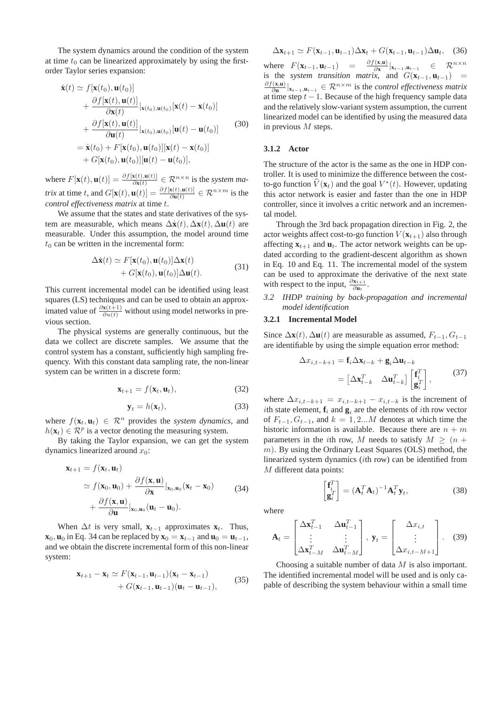The system dynamics around the condition of the system at time  $t_0$  can be linearized approximately by using the firstorder Taylor series expansion:

$$
\dot{\mathbf{x}}(t) \simeq f[\mathbf{x}(t_0), \mathbf{u}(t_0)] \n+ \frac{\partial f[\mathbf{x}(t), \mathbf{u}(t)]}{\partial \mathbf{x}(t)} | \mathbf{x}(t_0), \mathbf{u}(t_0) [\mathbf{x}(t) - \mathbf{x}(t_0)] \n+ \frac{\partial f[\mathbf{x}(t), \mathbf{u}(t)]}{\partial \mathbf{u}(t)} | \mathbf{x}(t_0), \mathbf{u}(t_0) [\mathbf{u}(t) - \mathbf{u}(t_0)] \n= \dot{\mathbf{x}}(t_0) + F[\mathbf{x}(t_0), \mathbf{u}(t_0)][\mathbf{x}(t) - \mathbf{x}(t_0)] \n+ G[\mathbf{x}(t_0), \mathbf{u}(t_0)][\mathbf{u}(t) - \mathbf{u}(t_0)],
$$
\n(30)

where  $F[\mathbf{x}(t), \mathbf{u}(t)] = \frac{\partial f[\mathbf{x}(t), \mathbf{u}(t)]}{\partial \mathbf{x}(t)} \in \mathcal{R}^{n \times n}$  is the *system matrix* at time t, and  $G[\mathbf{x}(t), \mathbf{u}(t)] = \frac{\partial f[\mathbf{x}(t), \mathbf{u}(t)]}{\partial \mathbf{u}(t)} \in \mathcal{R}^{n \times m}$  is the *control effectiveness matrix* at time t.

We assume that the states and state derivatives of the system are measurable, which means  $\Delta\dot{\mathbf{x}}(t)$ ,  $\Delta\mathbf{x}(t)$ ,  $\Delta\mathbf{u}(t)$  are measurable. Under this assumption, the model around time  $t_0$  can be written in the incremental form:

$$
\Delta \dot{\mathbf{x}}(t) \simeq F[\mathbf{x}(t_0), \mathbf{u}(t_0)] \Delta \mathbf{x}(t) + G[\mathbf{x}(t_0), \mathbf{u}(t_0)] \Delta \mathbf{u}(t).
$$
 (31)

This current incremental model can be identified using least squares (LS) techniques and can be used to obtain an approximated value of  $\frac{\partial x(t+1)}{\partial u(t)}$  without using model networks in previous section.

The physical systems are generally continuous, but the data we collect are discrete samples. We assume that the control system has a constant, sufficiently high sampling frequency. With this constant data sampling rate, the non-linear system can be written in a discrete form:

$$
\mathbf{x}_{t+1} = f(\mathbf{x}_t, \mathbf{u}_t), \tag{32}
$$

$$
\mathbf{y}_t = h(\mathbf{x}_t),\tag{33}
$$

where  $f(\mathbf{x}_t, \mathbf{u}_t) \in \mathbb{R}^n$  provides the *system dynamics*, and  $h(\mathbf{x}_t) \in \mathcal{R}^p$  is a vector denoting the measuring system.

By taking the Taylor expansion, we can get the system dynamics linearized around  $x_0$ :

$$
\mathbf{x}_{t+1} = f(\mathbf{x}_t, \mathbf{u}_t)
$$
  
\n
$$
\simeq f(\mathbf{x}_0, \mathbf{u}_0) + \frac{\partial f(\mathbf{x}, \mathbf{u})}{\partial \mathbf{x}}|_{\mathbf{x}_0, \mathbf{u}_0} (\mathbf{x}_t - \mathbf{x}_0)
$$
  
\n
$$
+ \frac{\partial f(\mathbf{x}, \mathbf{u})}{\partial \mathbf{u}}|_{\mathbf{x}_0, \mathbf{u}_0} (\mathbf{u}_t - \mathbf{u}_0).
$$
\n(34)

When  $\Delta t$  is very small,  $\mathbf{x}_{t-1}$  approximates  $\mathbf{x}_t$ . Thus, **x**<sub>0</sub>, **u**<sub>0</sub> in Eq. 34 can be replaced by **x**<sub>0</sub> = **x**<sub>t−1</sub> and **u**<sub>0</sub> = **u**<sub>t−1</sub>, and we obtain the discrete incremental form of this non-linear system:

$$
\mathbf{x}_{t+1} - \mathbf{x}_t \simeq F(\mathbf{x}_{t-1}, \mathbf{u}_{t-1})(\mathbf{x}_t - \mathbf{x}_{t-1}) + G(\mathbf{x}_{t-1}, \mathbf{u}_{t-1})(\mathbf{u}_t - \mathbf{u}_{t-1}),
$$
(35)

$$
\Delta \mathbf{x}_{t+1} \simeq F(\mathbf{x}_{t-1}, \mathbf{u}_{t-1}) \Delta \mathbf{x}_t + G(\mathbf{x}_{t-1}, \mathbf{u}_{t-1}) \Delta \mathbf{u}_t, \quad (36)
$$

where  $F(\mathbf{x}_{t-1}, \mathbf{u}_{t-1}) = \frac{\partial f(\mathbf{x}, \mathbf{u})}{\partial \mathbf{x}}|_{\mathbf{x}_{t-1}, \mathbf{u}_{t-1}} \in \mathbb{R}^{n \times n}$ is the *system transition matrix*, and  $G(\mathbf{x}_{t-1}, \mathbf{u}_{t-1})$  = ∂f(**x**,**u**)  $\frac{f'(\mathbf{x}, \mathbf{u})}{\partial \mathbf{u}}|_{\mathbf{x}_{t-1}, \mathbf{u}_{t-1}} \in \mathcal{R}^{n \times m}$  is the *control effectiveness matrix* at time step  $t - 1$ . Because of the high frequency sample data and the relatively slow-variant system assumption, the current linearized model can be identified by using the measured data in previous M steps.

## **3.1.2 Actor**

The structure of the actor is the same as the one in HDP controller. It is used to minimize the difference between the costto-go function  $\widehat{V}(\mathbf{x}_t)$  and the goal  $V^*(t)$ . However, updating this actor network is easier and faster than the one in HDP controller, since it involves a critic network and an incremental model.

Through the 3rd back propagation direction in Fig. 2, the actor weights affect cost-to-go function  $V(\mathbf{x}_{t+1})$  also through affecting  $\mathbf{x}_{t+1}$  and  $\mathbf{u}_t$ . The actor network weights can be updated according to the gradient-descent algorithm as shown in Eq. 10 and Eq. 11. The incremental model of the system can be used to approximate the derivative of the next state with respect to the input,  $\frac{\partial \mathbf{x}_{t+1}}{\partial \mathbf{u}_t}$ .

*3.2 IHDP training by back-propagation and incremental model identification*

#### **3.2.1 Incremental Model**

Since  $\Delta$ **x**(t),  $\Delta$ **u**(t) are measurable as assumed,  $F_{t-1}$ ,  $G_{t-1}$ are identifiable by using the simple equation error method:

$$
\Delta x_{i,t-k+1} = \mathbf{f}_i \Delta \mathbf{x}_{t-k} + \mathbf{g}_i \Delta \mathbf{u}_{t-k}
$$
  
=  $\begin{bmatrix} \Delta \mathbf{x}_{t-k}^T & \Delta \mathbf{u}_{t-k}^T \end{bmatrix} \begin{bmatrix} \mathbf{f}_i^T \\ \mathbf{g}_i^T \end{bmatrix},$  (37)

where  $\Delta x_{i,t-k+1} = x_{i,t-k+1} - x_{i,t-k}$  is the increment of ith state element,  $f_i$  and  $g_i$  are the elements of *i*th row vector of  $F_{t-1}, G_{t-1}$ , and  $k = 1, 2...M$  denotes at which time the historic information is available. Because there are  $n + m$ parameters in the *i*th row, M needs to satisfy  $M \geq (n +$ m). By using the Ordinary Least Squares (OLS) method, the linearized system dynamics (ith row) can be identified from M different data points:

$$
\begin{bmatrix} \mathbf{f}_i^T\\ \mathbf{g}_i^T \end{bmatrix} = (\mathbf{A}_t^T \mathbf{A}_t)^{-1} \mathbf{A}_t^T \mathbf{y}_t, \tag{38}
$$

where

$$
\mathbf{A}_{t} = \begin{bmatrix} \Delta \mathbf{x}_{t-1}^{T} & \Delta \mathbf{u}_{t-1}^{T} \\ \vdots & \vdots \\ \Delta \mathbf{x}_{t-M}^{T} & \Delta \mathbf{u}_{t-M}^{T} \end{bmatrix}, \ \mathbf{y}_{t} = \begin{bmatrix} \Delta x_{i,t} \\ \vdots \\ \Delta x_{i,t-M+1} \end{bmatrix} . \tag{39}
$$

Choosing a suitable number of data M is also important. The identified incremental model will be used and is only capable of describing the system behaviour within a small time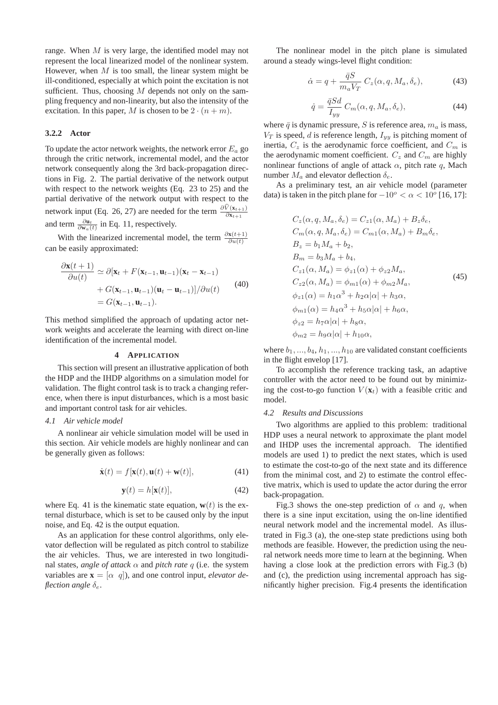range. When M is very large, the identified model may not represent the local linearized model of the nonlinear system. However, when  $M$  is too small, the linear system might be ill-conditioned, especially at which point the excitation is not sufficient. Thus, choosing  $M$  depends not only on the sampling frequency and non-linearity, but also the intensity of the excitation. In this paper, M is chosen to be  $2 \cdot (n + m)$ .

#### **3.2.2 Actor**

To update the actor network weights, the network error  $E_a$  go through the critic network, incremental model, and the actor network consequently along the 3rd back-propagation directions in Fig. 2. The partial derivative of the network output with respect to the network weights (Eq. 23 to 25) and the partial derivative of the network output with respect to the network input (Eq. 26, 27) are needed for the term  $\frac{\partial \hat{V}(x_{t+1})}{\partial x_{t+1}}$ and term  $\frac{\partial \mathbf{u}_t}{\partial \mathbf{w}_a(t)}$  in Eq. 11, respectively.

With the linearized incremental model, the term  $\frac{\partial \mathbf{x}(t+1)}{\partial u(t)}$ can be easily approximated:

$$
\frac{\partial \mathbf{x}(t+1)}{\partial u(t)} \simeq \partial [\mathbf{x}_t + F(\mathbf{x}_{t-1}, \mathbf{u}_{t-1})(\mathbf{x}_t - \mathbf{x}_{t-1})
$$
  
+  $G(\mathbf{x}_{t-1}, \mathbf{u}_{t-1})(\mathbf{u}_t - \mathbf{u}_{t-1})]/\partial u(t)$  (40)  
=  $G(\mathbf{x}_{t-1}, \mathbf{u}_{t-1}).$ 

This method simplified the approach of updating actor network weights and accelerate the learning with direct on-line identification of the incremental model.

#### **4 APPLICATION**

This section will present an illustrative application of both the HDP and the IHDP algorithms on a simulation model for validation. The flight control task is to track a changing reference, when there is input disturbances, which is a most basic and important control task for air vehicles.

## *4.1 Air vehicle model*

A nonlinear air vehicle simulation model will be used in this section. Air vehicle models are highly nonlinear and can be generally given as follows:

$$
\dot{\mathbf{x}}(t) = f[\mathbf{x}(t), \mathbf{u}(t) + \mathbf{w}(t)],\tag{41}
$$

$$
\mathbf{y}(t) = h[\mathbf{x}(t)],\tag{42}
$$

where Eq. 41 is the kinematic state equation,  $\mathbf{w}(t)$  is the external disturbace, which is set to be caused only by the input noise, and Eq. 42 is the output equation.

As an application for these control algorithms, only elevator deflection will be regulated as pitch control to stabilize the air vehicles. Thus, we are interested in two longitudinal states, *angle of attack*  $\alpha$  and *pitch rate* q (i.e. the system variables are  $\mathbf{x} = [\alpha, q]$ , and one control input, *elevator deflection angle* δ<sub>ε</sub>.

The nonlinear model in the pitch plane is simulated around a steady wings-level flight condition:

$$
\dot{\alpha} = q + \frac{\bar{q}S}{m_a V_T} C_z(\alpha, q, M_a, \delta_e), \tag{43}
$$

$$
\dot{q} = \frac{\bar{q}Sd}{I_{yy}} C_m(\alpha, q, M_a, \delta_e), \tag{44}
$$

where  $\bar{q}$  is dynamic pressure, S is reference area,  $m_a$  is mass,  $V_T$  is speed, d is reference length,  $I_{yy}$  is pitching moment of inertia,  $C_z$  is the aerodynamic force coefficient, and  $C_m$  is the aerodynamic moment coefficient.  $C_z$  and  $C_m$  are highly nonlinear functions of angle of attack  $\alpha$ , pitch rate q, Mach number  $M_a$  and elevator deflection  $\delta_e$ .

As a preliminary test, an air vehicle model (parameter data) is taken in the pitch plane for  $-10^{\circ} < \alpha < 10^{\circ}$  [16, 17]:

$$
C_z(\alpha, q, M_a, \delta_e) = C_{z1}(\alpha, M_a) + B_z \delta_e,
$$
  
\n
$$
C_m(\alpha, q, M_a, \delta_e) = C_{m1}(\alpha, M_a) + B_m \delta_e,
$$
  
\n
$$
B_z = b_1 M_a + b_2,
$$
  
\n
$$
B_m = b_3 M_a + b_4,
$$
  
\n
$$
C_{z1}(\alpha, M_a) = \phi_{z1}(\alpha) + \phi_{z2} M_a,
$$
  
\n
$$
C_{z2}(\alpha, M_a) = \phi_{m1}(\alpha) + \phi_{m2} M_a,
$$
  
\n
$$
\phi_{z1}(\alpha) = h_1 \alpha^3 + h_2 \alpha |\alpha| + h_3 \alpha,
$$
  
\n
$$
\phi_{m1}(\alpha) = h_4 \alpha^3 + h_5 \alpha |\alpha| + h_6 \alpha,
$$
  
\n
$$
\phi_{z2} = h_7 \alpha |\alpha| + h_8 \alpha,
$$
  
\n
$$
\phi_{m2} = h_9 \alpha |\alpha| + h_{10} \alpha,
$$

where  $b_1, ..., b_4, h_1, ..., h_{10}$  are validated constant coefficients in the flight envelop [17].

To accomplish the reference tracking task, an adaptive controller with the actor need to be found out by minimizing the cost-to-go function  $V(\mathbf{x}_t)$  with a feasible critic and model.

#### *4.2 Results and Discussions*

Two algorithms are applied to this problem: traditional HDP uses a neural network to approximate the plant model and IHDP uses the incremental approach. The identified models are used 1) to predict the next states, which is used to estimate the cost-to-go of the next state and its difference from the minimal cost, and 2) to estimate the control effective matrix, which is used to update the actor during the error back-propagation.

Fig.3 shows the one-step prediction of  $\alpha$  and q, when there is a sine input excitation, using the on-line identified neural network model and the incremental model. As illustrated in Fig.3 (a), the one-step state predictions using both methods are feasible. However, the prediction using the neural network needs more time to learn at the beginning. When having a close look at the prediction errors with Fig.3 (b) and (c), the prediction using incremental approach has significantly higher precision. Fig.4 presents the identification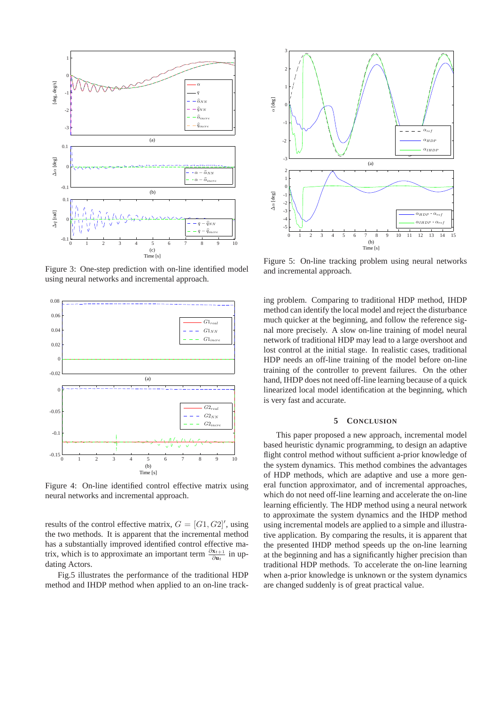

Figure 3: One-step prediction with on-line identified model using neural networks and incremental approach.



Figure 4: On-line identified control effective matrix using neural networks and incremental approach.

results of the control effective matrix,  $G = [G1, G2]'$ , using the two methods. It is apparent that the incremental method has a substantially improved identified control effective matrix, which is to approximate an important term  $\frac{\partial x_{t+1}}{\partial u_t}$  in updating Actors.

Fig.5 illustrates the performance of the traditional HDP method and IHDP method when applied to an on-line track-



Figure 5: On-line tracking problem using neural networks and incremental approach.

ing problem. Comparing to traditional HDP method, IHDP method can identify the local model and reject the disturbance much quicker at the beginning, and follow the reference signal more precisely. A slow on-line training of model neural network of traditional HDP may lead to a large overshoot and lost control at the initial stage. In realistic cases, traditional HDP needs an off-line training of the model before on-line training of the controller to prevent failures. On the other hand, IHDP does not need off-line learning because of a quick linearized local model identification at the beginning, which is very fast and accurate.

## **5 CONCLUSION**

This paper proposed a new approach, incremental model based heuristic dynamic programming, to design an adaptive flight control method without sufficient a-prior knowledge of the system dynamics. This method combines the advantages of HDP methods, which are adaptive and use a more general function approximator, and of incremental approaches, which do not need off-line learning and accelerate the on-line learning efficiently. The HDP method using a neural network to approximate the system dynamics and the IHDP method using incremental models are applied to a simple and illustrative application. By comparing the results, it is apparent that the presented IHDP method speeds up the on-line learning at the beginning and has a significantly higher precision than traditional HDP methods. To accelerate the on-line learning when a-prior knowledge is unknown or the system dynamics are changed suddenly is of great practical value.